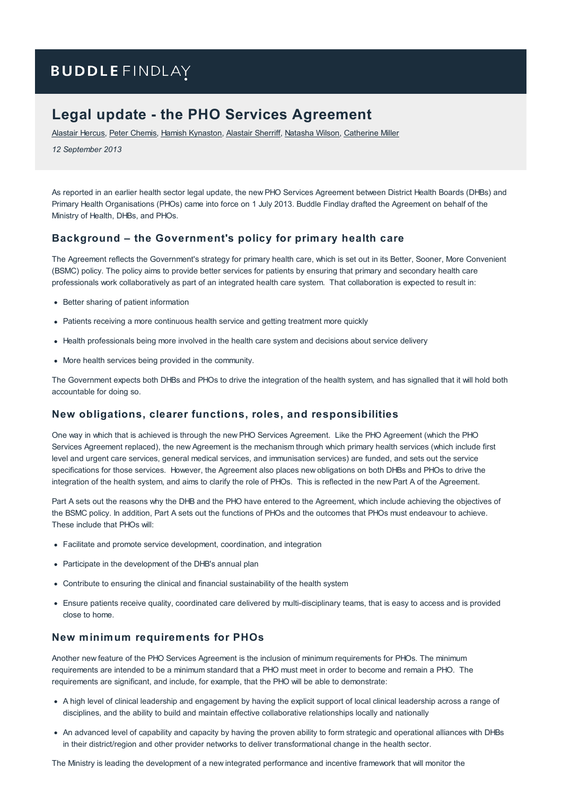# **BUDDLE FINDLAY**

## **Legal update - the PHO Services Agreement**

[Alastair](https://www.buddlefindlay.com/people/alastair-hercus/) Hercus, Peter [Chemis](https://www.buddlefindlay.com/people/peter-chemis/), Hamish [Kynaston](https://www.buddlefindlay.com/people/hamish-kynaston/), [Alastair](https://www.buddlefindlay.com/people/alastair-sherriff/) Sherriff, [Natasha](https://www.buddlefindlay.com/people/natasha-wilson/) Wilson, [Catherine](https://www.buddlefindlay.com/people/catherine-miller/) Miller

*12 September 2013*

As reported in an earlier health sector legal update, the new PHO Services Agreement between District Health Boards (DHBs) and Primary Health Organisations (PHOs) came into force on 1 July 2013. Buddle Findlay drafted the Agreement on behalf of the Ministry of Health, DHBs, and PHOs.

#### **Background – the Government's policy for primary health care**

The Agreement reflects the Government's strategy for primary health care, which is set out in its Better, Sooner, More Convenient (BSMC) policy. The policy aims to provide better services for patients by ensuring that primary and secondary health care professionals work collaboratively as part of an integrated health care system. That collaboration is expected to result in:

- Better sharing of patient information
- Patients receiving a more continuous health service and getting treatment more quickly
- Health professionals being more involved in the health care system and decisions about service delivery
- More health services being provided in the community.

The Government expects both DHBs and PHOs to drive the integration of the health system, and has signalled that it will hold both accountable for doing so.

#### **New obligations, clearer functions, roles, and responsibilities**

One way in which that is achieved is through the new PHO Services Agreement. Like the PHO Agreement (which the PHO Services Agreement replaced), the new Agreement is the mechanism through which primary health services (which include first level and urgent care services, general medical services, and immunisation services) are funded, and sets out the service specifications for those services. However, the Agreement also places new obligations on both DHBs and PHOs to drive the integration of the health system, and aims to clarify the role of PHOs. This is reflected in the new Part A of the Agreement.

Part A sets out the reasons why the DHB and the PHO have entered to the Agreement, which include achieving the objectives of the BSMC policy. In addition, Part A sets out the functions of PHOs and the outcomes that PHOs must endeavour to achieve. These include that PHOs will:

- Facilitate and promote service development, coordination, and integration
- Participate in the development of the DHB's annual plan
- Contribute to ensuring the clinical and financial sustainability of the health system
- Ensure patients receive quality, coordinated care delivered by multi-disciplinary teams, that is easy to access and is provided close to home.

#### **New minimum requirements for PHOs**

Another new feature of the PHO Services Agreement is the inclusion of minimum requirements for PHOs. The minimum requirements are intended to be a minimum standard that a PHO must meet in order to become and remain a PHO. The requirements are significant, and include, for example, that the PHO will be able to demonstrate:

- A high level of clinical leadership and engagement by having the explicit support of local clinical leadership across a range of disciplines, and the ability to build and maintain effective collaborative relationships locally and nationally
- An advanced level of capability and capacity by having the proven ability to form strategic and operational alliances with DHBs in their district/region and other provider networks to deliver transformational change in the health sector.

The Ministry is leading the development of a new integrated performance and incentive framework that will monitor the